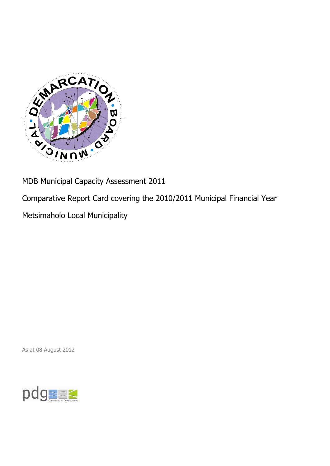

MDB Municipal Capacity Assessment 2011

Comparative Report Card covering the 2010/2011 Municipal Financial Year

Metsimaholo Local Municipality

As at 08 August 2012

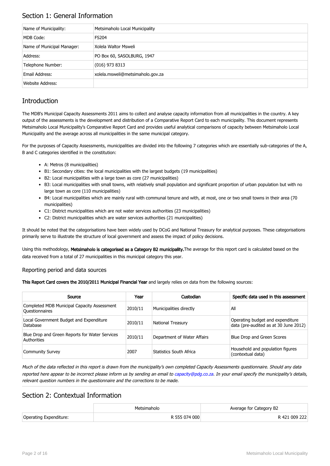## Section 1: General Information

| Name of Municipality:      | Metsimaholo Local Municipality   |
|----------------------------|----------------------------------|
| MDB Code:                  | <b>FS204</b>                     |
| Name of Municipal Manager: | Xolela Waltor Msweli             |
| Address:                   | PO Box 60, SASOLBURG, 1947       |
| Telephone Number:          | $(016)$ 973 8313                 |
| Email Address:             | xolela.msweli@metsimaholo.gov.za |
| Website Address:           |                                  |

## **Introduction**

The MDB's Municipal Capacity Assessments 2011 aims to collect and analyse capacity information from all municipalities in the country. A key output of the assessments is the development and distribution of a Comparative Report Card to each municipality. This document represents Metsimaholo Local Municipality's Comparative Report Card and provides useful analytical comparisons of capacity between Metsimaholo Local Municipality and the average across all municipalities in the same municipal category.

For the purposes of Capacity Assessments, municipalities are divided into the following 7 categories which are essentially sub-categories of the A, B and C categories identified in the constitution:

- A: Metros (8 municipalities)
- B1: Secondary cities: the local municipalities with the largest budgets (19 municipalities)
- B2: Local municipalities with a large town as core (27 municipalities)
- B3: Local municipalities with small towns, with relatively small population and significant proportion of urban population but with no large town as core (110 municipalities)
- B4: Local municipalities which are mainly rural with communal tenure and with, at most, one or two small towns in their area (70 municipalities)
- C1: District municipalities which are not water services authorities (23 municipalities)
- C2: District municipalities which are water services authorities (21 municipalities)

It should be noted that the categorisations have been widely used by DCoG and National Treasury for analytical purposes. These categorisations primarily serve to illustrate the structure of local government and assess the impact of policy decisions.

Using this methodology, Metsimaholo is categorised as a Category B2 municipality. The average for this report card is calculated based on the data received from a total of 27 municipalities in this municipal category this year.

### Reporting period and data sources

This Report Card covers the 2010/2011 Municipal Financial Year and largely relies on data from the following sources:

| Source                                                               | Year    | Custodian                   | Specific data used in this assessment                                     |
|----------------------------------------------------------------------|---------|-----------------------------|---------------------------------------------------------------------------|
| Completed MDB Municipal Capacity Assessment<br><b>Ouestionnaires</b> | 2010/11 | Municipalities directly     | All                                                                       |
| Local Government Budget and Expenditure<br>Database                  | 2010/11 | <b>National Treasury</b>    | Operating budget and expenditure<br>data (pre-audited as at 30 June 2012) |
| Blue Drop and Green Reports for Water Services<br>Authorities        | 2010/11 | Department of Water Affairs | Blue Drop and Green Scores                                                |
| <b>Community Survey</b>                                              | 2007    | Statistics South Africa     | Household and population figures<br>(contextual data)                     |

Much of the data reflected in this report is drawn from the municipality's own completed Capacity Assessments questionnaire. Should any data reported here appear to be incorrect please inform us by sending an email to [capacity@pdg.co.za](mailto:capacity@pdg.co.za). In your email specify the municipality's details, relevant question numbers in the questionnaire and the corrections to be made.

### Section 2: Contextual Information

|                        | Metsimaholo   | Average for Category B2 |
|------------------------|---------------|-------------------------|
| Operating Expenditure: | R 555 074 000 | R 421 009 222           |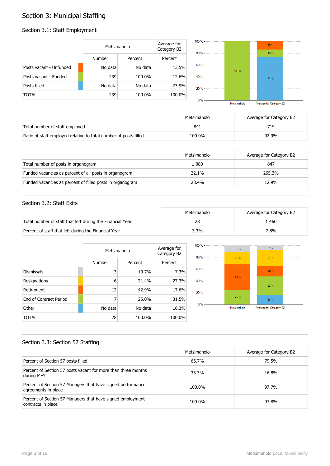## Section 3: Municipal Staffing

## Section 3.1: Staff Employment

|                         | Metsimaholo   |         | Average for<br>Category B2 | $100 \%$ -<br>$80% -$ |         | 13.%<br>13% |  |
|-------------------------|---------------|---------|----------------------------|-----------------------|---------|-------------|--|
|                         | <b>Number</b> | Percent | Percent                    |                       |         |             |  |
| Posts vacant - Unfunded | No data       | No data | 13.5%                      | $60 \%$ -             | $100\%$ |             |  |
| Posts vacant - Funded   | 239           | 100.0%  | 12.6%                      | 40 % -                |         | 74 %        |  |
| Posts filled            | No data       | No data | 73.9%                      | $20% -$               |         |             |  |
| <b>TOTAL</b>            | 239           | 100.0%  | 100.0%                     | $0 \%$ -              |         |             |  |

|   | 100%        |              |                         |                  |
|---|-------------|--------------|-------------------------|------------------|
| % |             | ------------ | 74 %                    |                  |
| ℅ |             | -----------  |                         | ---------------- |
| ℅ | Metsimaholo |              | Average for Category B2 |                  |

|                                                                  | Metsimaholo | Average for Category B2 |
|------------------------------------------------------------------|-------------|-------------------------|
| Total number of staff employed                                   | 841         |                         |
| Ratio of staff employed relative to total number of posts filled | 100.0%      | 92.9%                   |

|                                                           | Metsimaholo | Average for Category B2 |
|-----------------------------------------------------------|-------------|-------------------------|
| Total number of posts in organogram                       | 1 080       | 847                     |
| Funded vacancies as percent of all posts in organogram    | 22.1%       | 265.3%                  |
| Funded vacancies as percent of filled posts in organogram | 28.4%       | 12.9%                   |

### Section 3.2: Staff Exits

|                                                           | Metsimaholo | Average for Category B2 |
|-----------------------------------------------------------|-------------|-------------------------|
| Total number of staff that left during the Financial Year | 28          | 460                     |
| Percent of staff that left during the Financial Year      | 3.3%        | 7.8%                    |

|                        |         | Metsimaholo |         |  |
|------------------------|---------|-------------|---------|--|
|                        | Number  | Percent     | Percent |  |
| <b>Dismissals</b>      | 3       | 10.7%       | 7.3%    |  |
| Resignations           | 6       | 21.4%       | 27.3%   |  |
| Retirement             | 12      | 42.9%       | 17.6%   |  |
| End of Contract Period | 7       | 25.0%       | 31.5%   |  |
| Other                  | No data | No data     | 16.3%   |  |
| TOTAL                  | 28      | 100.0%      | 100.0%  |  |



### Section 3.3: Section 57 Staffing

|                                                                                    | Metsimaholo | Average for Category B2 |
|------------------------------------------------------------------------------------|-------------|-------------------------|
| Percent of Section 57 posts filled                                                 | 66.7%       | 79.5%                   |
| Percent of Section 57 posts vacant for more than three months<br>during MFY        | 33.3%       | 16.8%                   |
| Percent of Section 57 Managers that have signed performance<br>agreements in place | 100.0%      | 97.7%                   |
| Percent of Section 57 Managers that have signed employment<br>contracts in place   | 100.0%      | 93.8%                   |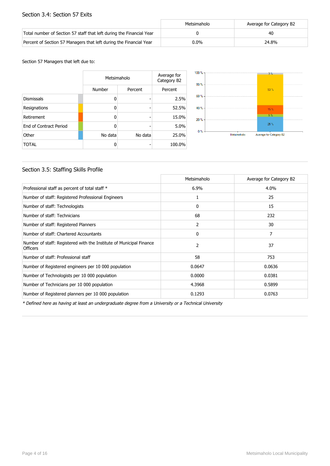### Section 3.4: Section 57 Exits

|                                                                      | Metsimaholo | Average for Category B2 |
|----------------------------------------------------------------------|-------------|-------------------------|
| Total number of Section 57 staff that left during the Financial Year |             | 40                      |
| Percent of Section 57 Managers that left during the Financial Year   | $0.0\%$     | 24.8%                   |

#### Section 57 Managers that left due to:

|                        |         | Metsimaholo<br>Number<br>Percent |        |  |
|------------------------|---------|----------------------------------|--------|--|
|                        |         |                                  |        |  |
| <b>Dismissals</b>      | 0       |                                  | 2.5%   |  |
| Resignations           | 0       | -                                | 52.5%  |  |
| Retirement             | 0       |                                  | 15.0%  |  |
| End of Contract Period | O       |                                  | 5.0%   |  |
| Other                  | No data | No data                          | 25.0%  |  |
| <b>TOTAL</b>           | ŋ       |                                  | 100.0% |  |



### Section 3.5: Staffing Skills Profile

|                                                                                        | Metsimaholo  | Average for Category B2 |
|----------------------------------------------------------------------------------------|--------------|-------------------------|
| Professional staff as percent of total staff *                                         | $6.9\%$      | 4.0%                    |
| Number of staff: Registered Professional Engineers                                     | 1            | 25                      |
| Number of staff: Technologists                                                         | 0            | 15                      |
| Number of staff: Technicians                                                           | 68           | 232                     |
| Number of staff: Registered Planners                                                   | 2            | 30                      |
| Number of staff: Chartered Accountants                                                 | $\mathbf{0}$ | 7                       |
| Number of staff: Registered with the Institute of Municipal Finance<br><b>Officers</b> | 2            | 37                      |
| Number of staff: Professional staff                                                    | 58           | 753                     |
| Number of Registered engineers per 10 000 population                                   | 0.0647       | 0.0636                  |
| Number of Technologists per 10 000 population                                          | 0.0000       | 0.0381                  |
| Number of Technicians per 10 000 population                                            | 4.3968       | 0.5899                  |
| Number of Registered planners per 10 000 population                                    | 0.1293       | 0.0763                  |

\* Defined here as having at least an undergraduate degree from a University or a Technical University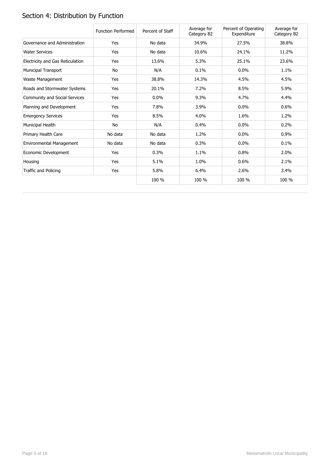# Section 4: Distribution by Function

|                                  | <b>Function Performed</b> | Percent of Staff | Average for<br>Category B2 | Percent of Operating<br>Expenditure | Average for<br>Category B2 |
|----------------------------------|---------------------------|------------------|----------------------------|-------------------------------------|----------------------------|
| Governance and Administration    | Yes                       | No data          | 34.9%                      | 27.5%                               | 38.8%                      |
| <b>Water Services</b>            | Yes                       | No data          | 10.6%                      | 24.1%                               | 11.2%                      |
| Electricity and Gas Reticulation | Yes                       | 13.6%            | 5.3%                       | 25.1%                               | 23.6%                      |
| <b>Municipal Transport</b>       | No                        | N/A              | 0.1%                       | $0.0\%$                             | 1.1%                       |
| Waste Management                 | Yes                       | 38.8%            | 14.3%                      | 4.5%                                | 4.5%                       |
| Roads and Stormwater Systems     | Yes                       | 20.1%            | 7.2%                       | 8.5%                                | 5.9%                       |
| Community and Social Services    | Yes                       | 0.0%             | 9.3%                       | 4.7%                                | 4.4%                       |
| Planning and Development         | Yes                       | 7.8%             | 3.9%                       | 0.0%                                | 0.6%                       |
| <b>Emergency Services</b>        | Yes                       | 8.5%             | 4.0%                       | 1.6%                                | 1.2%                       |
| Municipal Health                 | <b>No</b>                 | N/A              | 0.4%                       | $0.0\%$                             | 0.2%                       |
| Primary Health Care              | No data                   | No data          | 1.2%                       | $0.0\%$                             | 0.9%                       |
| Environmental Management         | No data                   | No data          | 0.3%                       | $0.0\%$                             | 0.1%                       |
| Economic Development             | Yes                       | 0.3%             | 1.1%                       | 0.8%                                | 2.0%                       |
| Housing                          | Yes                       | 5.1%             | 1.0%                       | 0.6%                                | 2.1%                       |
| Traffic and Policing             | Yes                       | 5.8%             | 6.4%                       | 2.6%                                | 3.4%                       |
|                                  |                           | 100 %            | 100 %                      | 100 %                               | 100 %                      |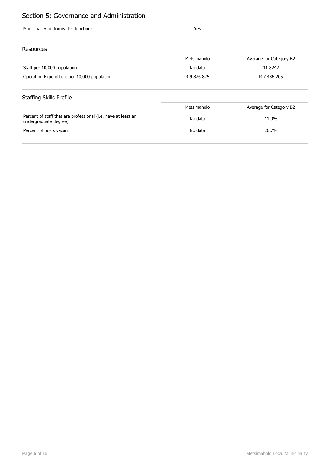## Section 5: Governance and Administration

| Municipality performs this function: |  |
|--------------------------------------|--|
|--------------------------------------|--|

### Resources

|                                             | Metsimaholo | Average for Category B2 |
|---------------------------------------------|-------------|-------------------------|
| Staff per 10,000 population                 | No data     | 11.8242                 |
| Operating Expenditure per 10,000 population | R 9 876 825 | R 7 486 205             |

## Staffing Skills Profile

|                                                                                        | Metsimaholo | Average for Category B2 |
|----------------------------------------------------------------------------------------|-------------|-------------------------|
| Percent of staff that are professional (i.e. have at least an<br>undergraduate degree) | No data     | 11.0%                   |
| Percent of posts vacant                                                                | No data     | 26.7%                   |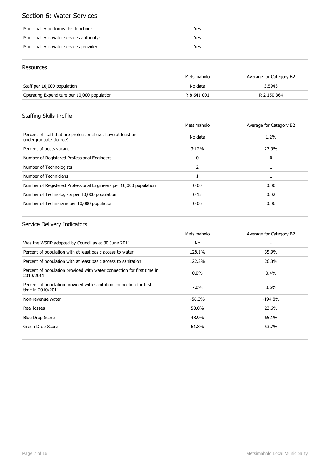## Section 6: Water Services

| Municipality performs this function:      | Yes |
|-------------------------------------------|-----|
| Municipality is water services authority: | Yes |
| Municipality is water services provider:  | Yes |

### Resources

|                                             | Metsimaholo | Average for Category B2 |
|---------------------------------------------|-------------|-------------------------|
| Staff per 10,000 population                 | No data     | 3.5943                  |
| Operating Expenditure per 10,000 population | R 8 641 001 | R 2 150 364             |

## Staffing Skills Profile

|                                                                                        | Metsimaholo  | Average for Category B2 |
|----------------------------------------------------------------------------------------|--------------|-------------------------|
| Percent of staff that are professional (i.e. have at least an<br>undergraduate degree) | No data      | 1.2%                    |
| Percent of posts vacant                                                                | 34.2%        | 27.9%                   |
| Number of Registered Professional Engineers                                            | $\mathbf{0}$ | 0                       |
| Number of Technologists                                                                |              |                         |
| Number of Technicians                                                                  |              |                         |
| Number of Registered Professional Engineers per 10,000 population                      | 0.00         | 0.00                    |
| Number of Technologists per 10,000 population                                          | 0.13         | 0.02                    |
| Number of Technicians per 10,000 population                                            | 0.06         | 0.06                    |

|                                                                                          | Metsimaholo | Average for Category B2 |
|------------------------------------------------------------------------------------------|-------------|-------------------------|
| Was the WSDP adopted by Council as at 30 June 2011                                       | No.         |                         |
| Percent of population with at least basic access to water                                | 128.1%      | 35.9%                   |
| Percent of population with at least basic access to sanitation                           | 122.2%      | 26.8%                   |
| Percent of population provided with water connection for first time in<br>2010/2011      | $0.0\%$     | $0.4\%$                 |
| Percent of population provided with sanitation connection for first<br>time in 2010/2011 | 7.0%        | $0.6\%$                 |
| Non-revenue water                                                                        | $-56.3%$    | $-194.8\%$              |
| Real losses                                                                              | 50.0%       | 23.6%                   |
| <b>Blue Drop Score</b>                                                                   | 48.9%       | 65.1%                   |
| Green Drop Score                                                                         | 61.8%       | 53.7%                   |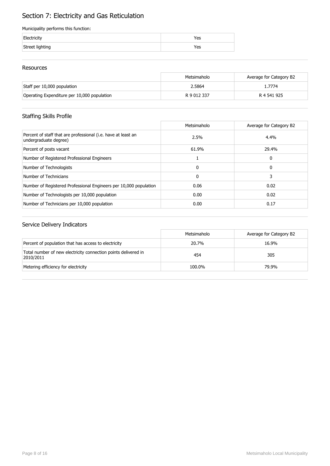## Section 7: Electricity and Gas Reticulation

### Municipality performs this function:

| Electricity     | 'es |
|-----------------|-----|
| Street lighting | res |

### Resources

|                                             | Metsimaholo | Average for Category B2 |
|---------------------------------------------|-------------|-------------------------|
| Staff per 10,000 population                 | 2.5864      | .7774                   |
| Operating Expenditure per 10,000 population | R 9 012 337 | R 4 541 925             |

## Staffing Skills Profile

|                                                                                        | Metsimaholo | Average for Category B2 |
|----------------------------------------------------------------------------------------|-------------|-------------------------|
| Percent of staff that are professional (i.e. have at least an<br>undergraduate degree) | 2.5%        | 4.4%                    |
| Percent of posts vacant                                                                | 61.9%       | 29.4%                   |
| Number of Registered Professional Engineers                                            |             | 0                       |
| Number of Technologists                                                                | $\Omega$    | 0                       |
| Number of Technicians                                                                  | 0           |                         |
| Number of Registered Professional Engineers per 10,000 population                      | 0.06        | 0.02                    |
| Number of Technologists per 10,000 population                                          | 0.00        | 0.02                    |
| Number of Technicians per 10,000 population                                            | 0.00        | 0.17                    |

|                                                                             | Metsimaholo | Average for Category B2 |
|-----------------------------------------------------------------------------|-------------|-------------------------|
| Percent of population that has access to electricity                        | 20.7%       | 16.9%                   |
| Total number of new electricity connection points delivered in<br>2010/2011 | 454         | 305                     |
| Metering efficiency for electricity                                         | 100.0%      | 79.9%                   |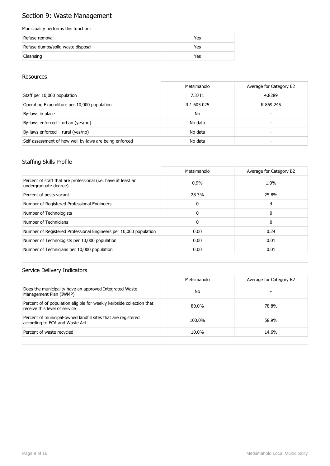## Section 9: Waste Management

### Municipality performs this function:

| Refuse removal                    | Yes |
|-----------------------------------|-----|
| Refuse dumps/solid waste disposal | Yes |
| Cleansing                         | Yes |

### Resources

|                                                        | Metsimaholo | Average for Category B2 |
|--------------------------------------------------------|-------------|-------------------------|
| Staff per 10,000 population                            | 7.3711      | 4.8289                  |
| Operating Expenditure per 10,000 population            | R 1 605 025 | R 869 245               |
| By-laws in place                                       | <b>No</b>   | -                       |
| By-laws enforced - urban (yes/no)                      | No data     | -                       |
| By-laws enforced $-$ rural (yes/no)                    | No data     |                         |
| Self-assessment of how well by-laws are being enforced | No data     |                         |

### Staffing Skills Profile

|                                                                                        | Metsimaholo  | Average for Category B2 |
|----------------------------------------------------------------------------------------|--------------|-------------------------|
| Percent of staff that are professional (i.e. have at least an<br>undergraduate degree) | $0.9\%$      | 1.0%                    |
| Percent of posts vacant                                                                | 28.3%        | 25.8%                   |
| Number of Registered Professional Engineers                                            | 0            | 4                       |
| Number of Technologists                                                                | $\Omega$     | 0                       |
| Number of Technicians                                                                  | $\mathbf{0}$ | 0                       |
| Number of Registered Professional Engineers per 10,000 population                      | 0.00         | 0.24                    |
| Number of Technologists per 10,000 population                                          | 0.00         | 0.01                    |
| Number of Technicians per 10,000 population                                            | 0.00         | 0.01                    |

|                                                                                                        | Metsimaholo | Average for Category B2 |
|--------------------------------------------------------------------------------------------------------|-------------|-------------------------|
| Does the municipality have an approved Integrated Waste<br>Management Plan (IWMP)                      | No          |                         |
| Percent of of population eligible for weekly kerbside collection that<br>receive this level of service | 80.0%       | 78.8%                   |
| Percent of municipal-owned landfill sites that are registered<br>according to ECA and Waste Act        | 100.0%      | 58.9%                   |
| Percent of waste recycled                                                                              | 10.0%       | 14.6%                   |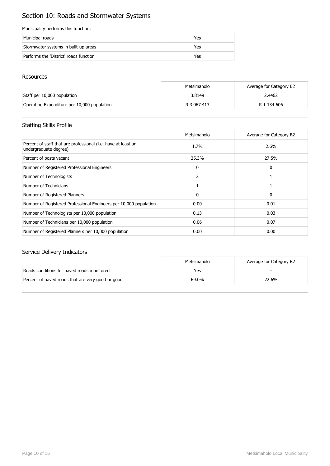## Section 10: Roads and Stormwater Systems

### Municipality performs this function:

| Municipal roads                        | Yes |
|----------------------------------------|-----|
| Stormwater systems in built-up areas   | Yes |
| Performs the 'District' roads function | Yes |

### Resources

|                                             | Metsimaholo | Average for Category B2 |
|---------------------------------------------|-------------|-------------------------|
| Staff per 10,000 population                 | 3.8149      | 2.4462                  |
| Operating Expenditure per 10,000 population | R 3 067 413 | R 1 134 606             |

## Staffing Skills Profile

|                                                                                        | Metsimaholo  | Average for Category B2 |
|----------------------------------------------------------------------------------------|--------------|-------------------------|
| Percent of staff that are professional (i.e. have at least an<br>undergraduate degree) | 1.7%         | 2.6%                    |
| Percent of posts vacant                                                                | 25.3%        | 27.5%                   |
| Number of Registered Professional Engineers                                            | $\mathbf{0}$ | 0                       |
| Number of Technologists                                                                | 2            |                         |
| Number of Technicians                                                                  |              |                         |
| Number of Registered Planners                                                          | $\mathbf{0}$ | 0                       |
| Number of Registered Professional Engineers per 10,000 population                      | 0.00         | 0.01                    |
| Number of Technologists per 10,000 population                                          | 0.13         | 0.03                    |
| Number of Technicians per 10,000 population                                            | 0.06         | 0.07                    |
| Number of Registered Planners per 10,000 population                                    | 0.00         | 0.00                    |

|                                                   | Metsimaholo | Average for Category B2 |
|---------------------------------------------------|-------------|-------------------------|
| Roads conditions for paved roads monitored        | Yes         |                         |
| Percent of paved roads that are very good or good | 69.0%       | 22.6%                   |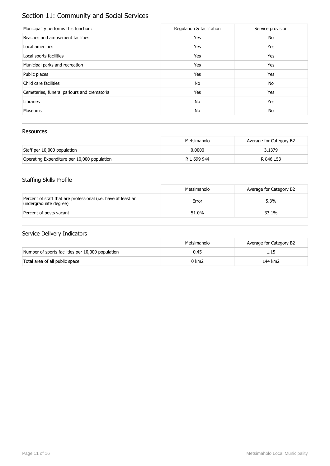## Section 11: Community and Social Services

| Municipality performs this function:        | Regulation & facilitation | Service provision |
|---------------------------------------------|---------------------------|-------------------|
| Beaches and amusement facilities            | Yes                       | No                |
| Local amenities                             | Yes                       | Yes               |
| Local sports facilities                     | Yes                       | Yes               |
| Municipal parks and recreation              | Yes                       | Yes               |
| Public places                               | Yes                       | Yes               |
| Child care facilities                       | No                        | No                |
| Cemeteries, funeral parlours and crematoria | Yes                       | Yes               |
| Libraries                                   | No                        | Yes               |
| <b>Museums</b>                              | No                        | No                |

### Resources

|                                             | Metsimaholo | Average for Category B2 |
|---------------------------------------------|-------------|-------------------------|
| Staff per 10,000 population                 | 0.0000      | 3.1379                  |
| Operating Expenditure per 10,000 population | R 1 699 944 | R 846 153               |

## Staffing Skills Profile

|                                                                                        | Metsimaholo | Average for Category B2 |
|----------------------------------------------------------------------------------------|-------------|-------------------------|
| Percent of staff that are professional (i.e. have at least an<br>undergraduate degree) | Error       | 5.3%                    |
| Percent of posts vacant                                                                | 51.0%       | 33.1%                   |

|                                                   | Metsimaholo | Average for Category B2 |
|---------------------------------------------------|-------------|-------------------------|
| Number of sports facilities per 10,000 population | 0.45        |                         |
| Total area of all public space                    | 0 km2       | 144 km2                 |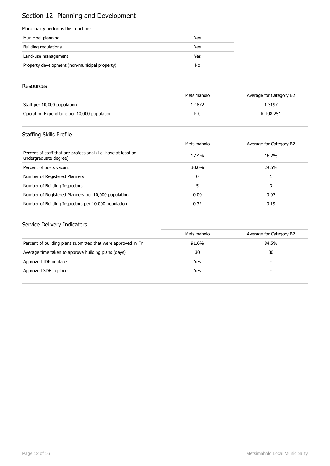# Section 12: Planning and Development

### Municipality performs this function:

| Municipal planning                            | Yes |
|-----------------------------------------------|-----|
| Building regulations                          | Yes |
| Land-use management                           | Yes |
| Property development (non-municipal property) | No  |

### **Resources**

|                                             | Metsimaholo | Average for Category B2 |
|---------------------------------------------|-------------|-------------------------|
| Staff per 10,000 population                 | 1.4872      | 1.3197                  |
| Operating Expenditure per 10,000 population | R 0         | R 108 251               |

## Staffing Skills Profile

|                                                                                        | Metsimaholo | Average for Category B2 |
|----------------------------------------------------------------------------------------|-------------|-------------------------|
| Percent of staff that are professional (i.e. have at least an<br>undergraduate degree) | 17.4%       | 16.2%                   |
| Percent of posts vacant                                                                | 30.0%       | 24.5%                   |
| Number of Registered Planners                                                          | 0           |                         |
| Number of Building Inspectors                                                          | 5.          | 3                       |
| Number of Registered Planners per 10,000 population                                    | 0.00        | 0.07                    |
| Number of Building Inspectors per 10,000 population                                    | 0.32        | 0.19                    |

|                                                              | Metsimaholo | Average for Category B2  |
|--------------------------------------------------------------|-------------|--------------------------|
| Percent of building plans submitted that were approved in FY | 91.6%       | 84.5%                    |
| Average time taken to approve building plans (days)          | 30          | 30                       |
| Approved IDP in place                                        | Yes         | $\overline{\phantom{0}}$ |
| Approved SDF in place                                        | Yes         | -                        |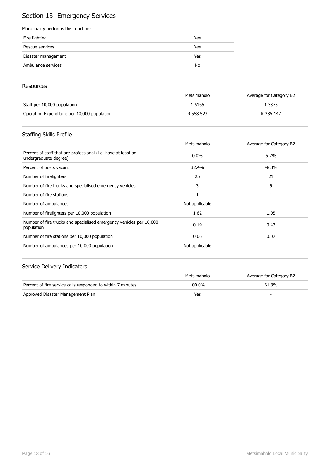## Section 13: Emergency Services

### Municipality performs this function:

| Fire fighting       | Yes |
|---------------------|-----|
| Rescue services     | Yes |
| Disaster management | Yes |
| Ambulance services  | No  |

### **Resources**

|                                             | Metsimaholo | Average for Category B2 |
|---------------------------------------------|-------------|-------------------------|
| Staff per 10,000 population                 | 1.6165      | 1.3375                  |
| Operating Expenditure per 10,000 population | R 558 523   | R 235 147               |

## Staffing Skills Profile

|                                                                                        | Metsimaholo    | Average for Category B2 |
|----------------------------------------------------------------------------------------|----------------|-------------------------|
| Percent of staff that are professional (i.e. have at least an<br>undergraduate degree) | $0.0\%$        | 5.7%                    |
| Percent of posts vacant                                                                | 32.4%          | 48.3%                   |
| Number of firefighters                                                                 | 25             | 21                      |
| Number of fire trucks and specialised emergency vehicles                               | 3              | 9                       |
| Number of fire stations                                                                |                |                         |
| Number of ambulances                                                                   | Not applicable |                         |
| Number of firefighters per 10,000 population                                           | 1.62           | 1.05                    |
| Number of fire trucks and specialised emergency vehicles per 10,000<br>population      | 0.19           | 0.43                    |
| Number of fire stations per 10,000 population                                          | 0.06           | 0.07                    |
| Number of ambulances per 10,000 population                                             | Not applicable |                         |

|                                                             | Metsimaholo | Average for Category B2 |
|-------------------------------------------------------------|-------------|-------------------------|
| Percent of fire service calls responded to within 7 minutes | 100.0%      | 61.3%                   |
| Approved Disaster Management Plan                           | Yes         | -                       |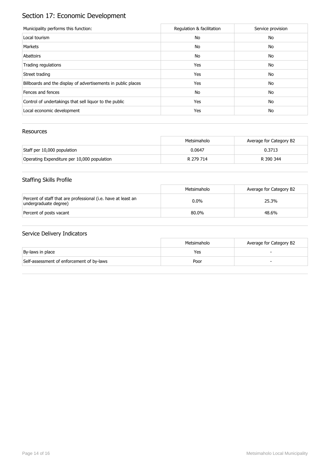# Section 17: Economic Development

| Municipality performs this function:                          | Regulation & facilitation | Service provision |
|---------------------------------------------------------------|---------------------------|-------------------|
| Local tourism                                                 | No                        | No                |
| Markets                                                       | No                        | No                |
| Abattoirs                                                     | No                        | No                |
| Trading regulations                                           | Yes                       | No                |
| Street trading                                                | Yes                       | No                |
| Billboards and the display of advertisements in public places | Yes                       | No                |
| Fences and fences                                             | No                        | No                |
| Control of undertakings that sell liquor to the public        | Yes                       | No                |
| Local economic development                                    | Yes                       | No                |

### Resources

|                                             | Metsimaholo | Average for Category B2 |
|---------------------------------------------|-------------|-------------------------|
| Staff per 10,000 population                 | 0.0647      | 0.3713                  |
| Operating Expenditure per 10,000 population | R 279 714   | R 390 344               |

## Staffing Skills Profile

|                                                                                        | Metsimaholo | Average for Category B2 |
|----------------------------------------------------------------------------------------|-------------|-------------------------|
| Percent of staff that are professional (i.e. have at least an<br>undergraduate degree) | $0.0\%$     | 25.3%                   |
| Percent of posts vacant                                                                | 80.0%       | 48.6%                   |

|                                           | Metsimaholo | Average for Category B2 |
|-------------------------------------------|-------------|-------------------------|
| By-laws in place                          | Yes         |                         |
| Self-assessment of enforcement of by-laws | Poor        |                         |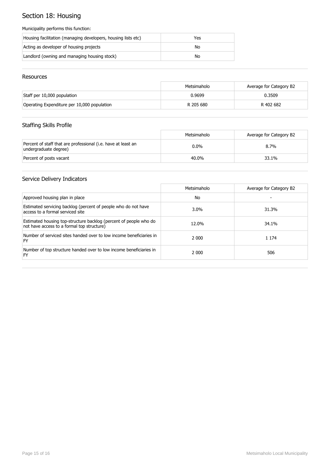# Section 18: Housing

### Municipality performs this function:

| Housing facilitation (managing developers, housing lists etc) | Yes |
|---------------------------------------------------------------|-----|
| Acting as developer of housing projects                       | No  |
| Landlord (owning and managing housing stock)                  | No  |

### Resources

|                                             | Metsimaholo | Average for Category B2 |
|---------------------------------------------|-------------|-------------------------|
| Staff per 10,000 population                 | 0.9699      | 0.3509                  |
| Operating Expenditure per 10,000 population | R 205 680   | R 402 682               |

## Staffing Skills Profile

|                                                                                        | Metsimaholo | Average for Category B2 |
|----------------------------------------------------------------------------------------|-------------|-------------------------|
| Percent of staff that are professional (i.e. have at least an<br>undergraduate degree) | $0.0\%$     | $8.7\%$                 |
| Percent of posts vacant                                                                | 40.0%       | 33.1%                   |

|                                                                                                                 | Metsimaholo | Average for Category B2 |
|-----------------------------------------------------------------------------------------------------------------|-------------|-------------------------|
| Approved housing plan in place                                                                                  | No.         |                         |
| Estimated servicing backlog (percent of people who do not have<br>access to a formal serviced site              | $3.0\%$     | 31.3%                   |
| Estimated housing top-structure backlog (percent of people who do<br>not have access to a formal top structure) | 12.0%       | 34.1%                   |
| Number of serviced sites handed over to low income beneficiaries in<br>FY                                       | 2 0 0 0     | 1 1 7 4                 |
| Number of top structure handed over to low income beneficiaries in<br>FY                                        | 2 0 0 0     | 506                     |